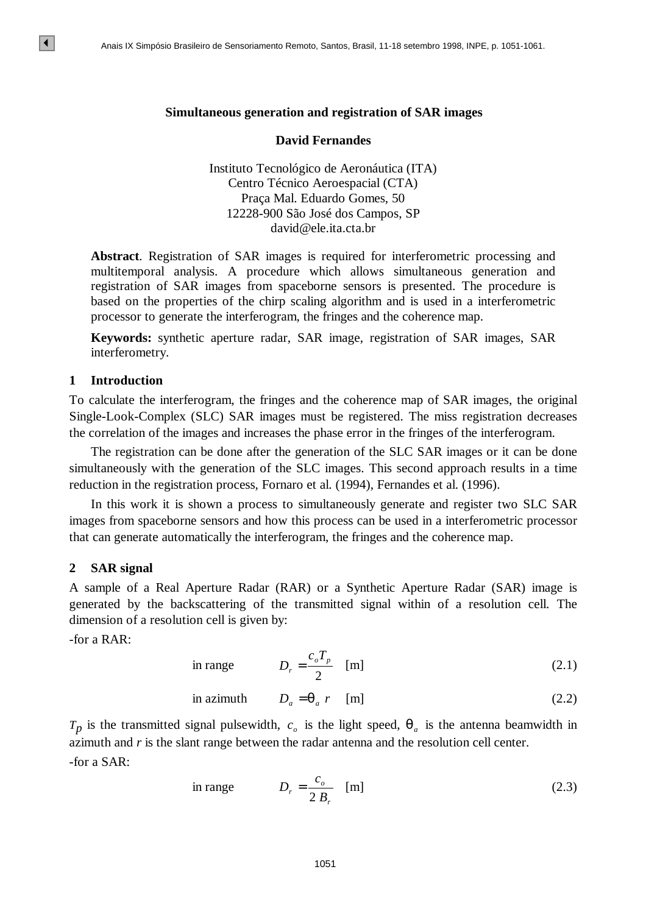### **Simultaneous generation and registration of SAR images**

### **David Fernandes**

Instituto Tecnológico de Aeronáutica (ITA) Centro Técnico Aeroespacial (CTA) Praça Mal. Eduardo Gomes, 50 12228-900 São José dos Campos, SP david@ele.ita.cta.br

**Abstract**. Registration of SAR images is required for interferometric processing and multitemporal analysis. A procedure which allows simultaneous generation and registration of SAR images from spaceborne sensors is presented. The procedure is based on the properties of the chirp scaling algorithm and is used in a interferometric processor to generate the interferogram, the fringes and the coherence map. **EVALUATE SIMPONES ANAIS ANALLY AND ANALLY ANALLY ANALLY ANALLY ANALLY ANALLY ANALLY ANALLY ANALLY ANALLY ANALLY ANALLY AND CONTO THE CHANNEL CONDUCT THE CHANNEL CONDUCT THE CHANNEL CONDUCT THE CHANNEL CONDUCT THE CHANNEL** 

**Keywords:** synthetic aperture radar, SAR image, registration of SAR images, SAR interferometry.

# **1 Introduction**

 $\vert\vert\vert$ 

To calculate the interferogram, the fringes and the coherence map of SAR images, the original Single-Look-Complex (SLC) SAR images must be registered. The miss registration decreases the correlation of the images and increases the phase error in the fringes of the interferogram.

The registration can be done after the generation of the SLC SAR images or it can be done simultaneously with the generation of the SLC images. This second approach results in a time reduction in the registration process, Fornaro et al. (1994), Fernandes et al. (1996).

In this work it is shown a process to simultaneously generate and register two SLC SAR images from spaceborne sensors and how this process can be used in a interferometric processor that can generate automatically the interferogram, the fringes and the coherence map.

### **2 SAR signal**

A sample of a Real Aperture Radar (RAR) or a Synthetic Aperture Radar (SAR) image is generated by the backscattering of the transmitted signal within of a resolution cell. The dimension of a resolution cell is given by:

-for a RAR:

in range 
$$
D_r = \frac{c_o T_p}{2} \quad [m]
$$
 (2.1)

in azimuth 
$$
D_a = \mathbf{q}_a r
$$
 [m] (2.2)

 $T_p$  is the transmitted signal pulsewidth,  $c_o$  is the light speed,  $q_a$  is the antenna beamwidth in azimuth and *r* is the slant range between the radar antenna and the resolution cell center. -for a SAR:

in range 
$$
D_r = \frac{c_o}{2 B_r}
$$
 [m] (2.3)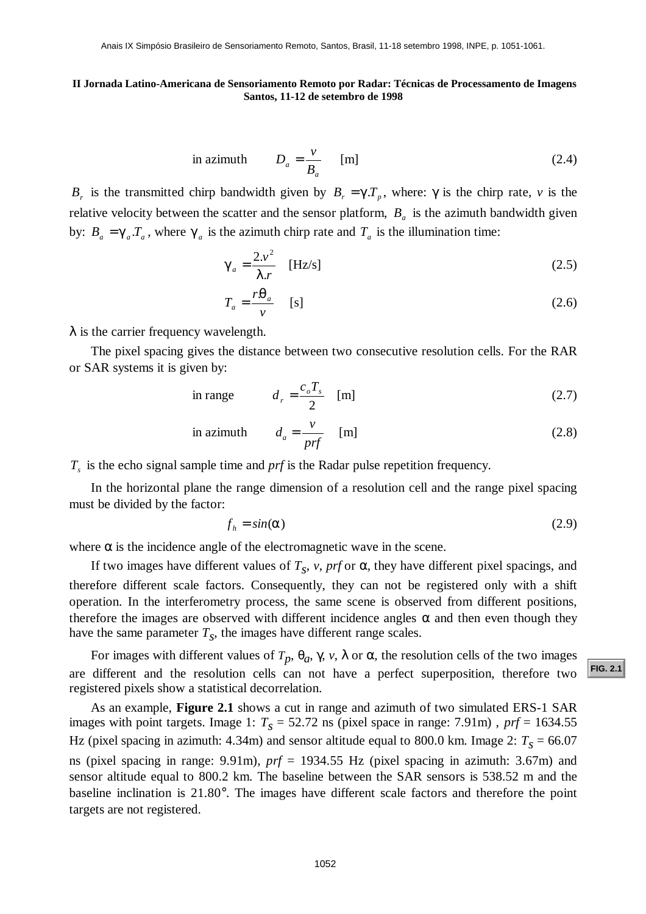in azimuth 
$$
D_a = \frac{v}{B_a}
$$
 [m] (2.4)

*B<sub>r</sub>* is the transmitted chirp bandwidth given by  $B_r = gT_p$ , where:  $\gamma$  is the chirp rate, *v* is the relative velocity between the scatter and the sensor platform,  $B_a$  is the azimuth bandwidth given by:  $B_a = g_a T_a$ , where  $g_a$  is the azimuth chirp rate and  $T_a$  is the illumination time:

$$
\mathbf{g}_i = \frac{2.v^2}{1.r} \quad \text{[Hz/s]}
$$
 (2.5)

$$
T_a = \frac{r\mathbf{q}_a}{v} \quad \text{[s]}
$$
 (2.6)

 $\lambda$  is the carrier frequency wavelength.

The pixel spacing gives the distance between two consecutive resolution cells. For the RAR or SAR systems it is given by:

in range 
$$
d_r = \frac{c_o T_s}{2}
$$
 [m] (2.7)

in azimuth 
$$
d_a = \frac{v}{prf}
$$
 [m] (2.8)

*Ts* is the echo signal sample time and *prf* is the Radar pulse repetition frequency.

In the horizontal plane the range dimension of a resolution cell and the range pixel spacing must be divided by the factor:

$$
f_h = \sin(\mathbf{a}) \tag{2.9}
$$

where **a** is the incidence angle of the electromagnetic wave in the scene.

If two images have different values of  $T_s$ ,  $v$ ,  $prf$  or  $a$ , they have different pixel spacings, and therefore different scale factors. Consequently, they can not be registered only with a shift operation. In the interferometry process, the same scene is observed from different positions, therefore the images are observed with different incidence angles *a* and then even though they have the same parameter  $T_s$ , the images have different range scales. **[FIG. 2.1](#page-2-0)** Analysis Considers Brasileiro de Sensoriamento Remoto, Santas, Fig. 11-18 setembro 1998, ISBN 0-12-13 Analysis Constant Considers Considered Brasil, 11-12 de setembro de Processimiento de Imagens Santos, Brasil

For images with different values of  $T_p$ ,  $q_a$ ,  $\gamma$ ,  $\nu$ ,  $\lambda$  or  $a$ , the resolution cells of the two images are different and the resolution cells can not have a perfect superposition, therefore two registered pixels show a statistical decorrelation.

As an example, **Figure 2.1** shows a cut in range and azimuth of two simulated ERS-1 SAR images with point targets. Image 1:  $T_s = 52.72$  ns (pixel space in range: 7.91m),  $prf = 1634.55$ Hz (pixel spacing in azimuth:  $4.34$ m) and sensor altitude equal to  $800.0$  km. Image  $2: T_s = 66.07$ ns (pixel spacing in range: 9.91m), *prf* = 1934.55 Hz (pixel spacing in azimuth: 3.67m) and sensor altitude equal to 800.2 km. The baseline between the SAR sensors is 538.52 m and the baseline inclination is 21.80°. The images have different scale factors and therefore the point targets are not registered.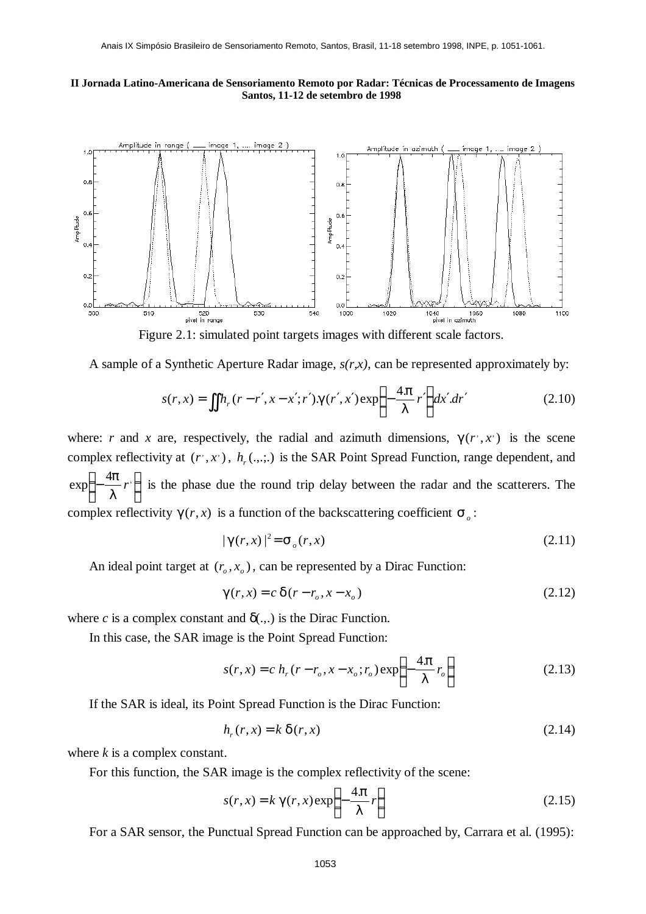<span id="page-2-0"></span>

Figure 2.1: simulated point targets images with different scale factors.

A sample of a Synthetic Aperture Radar image, *s(r,x)*, can be represented approximately by:

$$
s(r,x) = \iint h_r(r-r',x-x';r') \cdot \mathbf{g}(r',x') \exp\left\{-\frac{4\mathbf{p}}{I}r'\right\} dx' dr'
$$
 (2.10)

where: *r* and *x* are, respectively, the radial and azimuth dimensions,  $g(r', x')$  is the scene complex reflectivity at  $(r, x)$ ,  $h_r$ ,  $(x, y)$  is the SAR Point Spread Function, range dependent, and J  $\left\{ \right\}$  $\exp\left\{-\frac{4p}{r}\right\}$  $\mathsf{L}$ ╎  $\vert$ − *l*  $\left\{\frac{p}{r}\right\}$  is the phase due the round trip delay between the radar and the scatterers. The complex reflectivity  $g(r, x)$  is a function of the backscattering coefficient  $s_o$ :

$$
|\mathbf{g}(r,x)|^2 = \mathbf{S}_o(r,x) \tag{2.11}
$$

An ideal point target at  $(r_o, x_o)$ , can be represented by a Dirac Function:

$$
\mathbf{g}(r,x) = c \mathbf{d}(r - r_o, x - x_o) \tag{2.12}
$$

where *c* is a complex constant and  $\delta$ (...) is the Dirac Function.

In this case, the SAR image is the Point Spread Function:

$$
s(r, x) = c h_r(r - r_o, x - x_o; r_o) \exp\left\{-\frac{4p}{l}r_o\right\}
$$
 (2.13)

If the SAR is ideal, its Point Spread Function is the Dirac Function:

$$
h_r(r, x) = k \mathbf{d}(r, x) \tag{2.14}
$$

where *k* is a complex constant.

For this function, the SAR image is the complex reflectivity of the scene:

$$
s(r,x) = k \mathbf{g}(r,x) \exp\left\{-\frac{4\mathbf{p}}{l}r\right\}
$$
 (2.15)

For a SAR sensor, the Punctual Spread Function can be approached by, Carrara et al. (1995):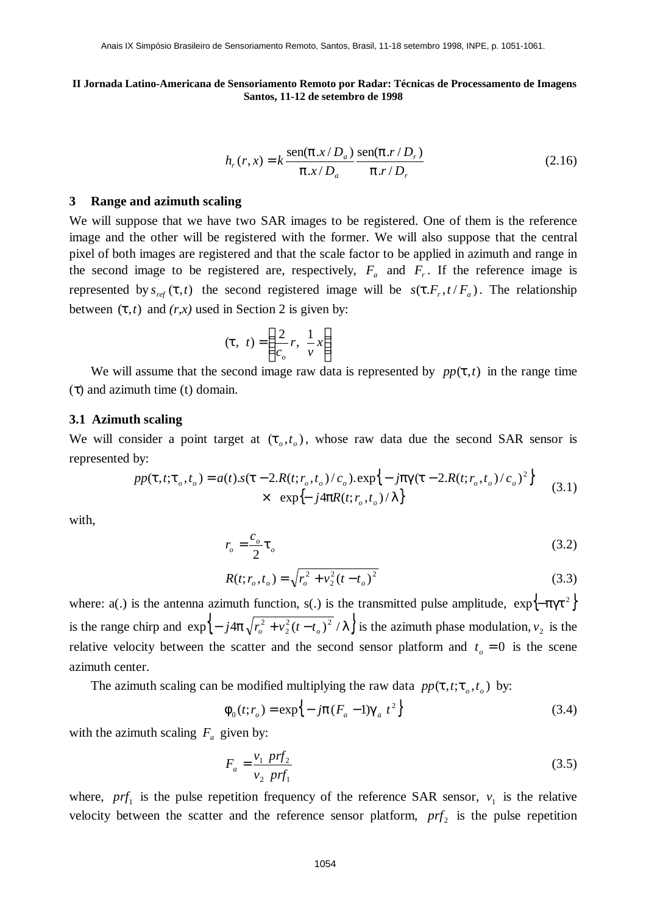$$
h_r(r, x) = k \frac{\operatorname{sen}(\boldsymbol{p} \cdot x / D_a)}{\boldsymbol{p} \cdot x / D_a} \frac{\operatorname{sen}(\boldsymbol{p} \cdot r / D_r)}{\boldsymbol{p} \cdot r / D_r}
$$
(2.16)

#### **3 Range and azimuth scaling**

We will suppose that we have two SAR images to be registered. One of them is the reference image and the other will be registered with the former. We will also suppose that the central pixel of both images are registered and that the scale factor to be applied in azimuth and range in the second image to be registered are, respectively,  $F_a$  and  $F_r$ . If the reference image is represented by  $s_{ref}$  (*t*,*t*) the second registered image will be  $s(t)$ ,  $F_r$ ,  $t$  / $F_a$ ). The relationship between  $(t, t)$  and  $(r, x)$  used in Section 2 is given by:

$$
(\mathbf{t}, t) = \left(\frac{2}{c_o}r, \frac{1}{v}x\right)
$$

We will assume that the second image raw data is represented by  $pp(t,t)$  in the range time (τ) and azimuth time (t) domain.

#### **3.1 Azimuth scaling**

We will consider a point target at  $(t_0, t_0)$ , whose raw data due the second SAR sensor is represented by:

$$
pp(t, t; t_o, t_o) = a(t) . s(t - 2.R(t; r_o, t_o) / c_o). \exp\{-jpg(t - 2.R(t; r_o, t_o) / c_o)^2\}
$$
  
× exp{- j4pR(t; r\_o, t\_o) / I} (3.1)

with,

$$
r_o = \frac{c_o}{2} \mathbf{t}_o \tag{3.2}
$$

$$
R(t; r_o, t_o) = \sqrt{r_o^2 + v_2^2 (t - t_o)^2}
$$
\n(3.3)

where: a(.) is the antenna azimuth function, s(.) is the transmitted pulse amplitude,  $\exp{\left\{-p\mathbf{g}^2\right\}}$ is the range chirp and  $\exp\{-j4p\sqrt{r_o^2 + v_2^2(t-t_o)^2}/I\}$  is the azimuth phase modulation,  $v_2$  is the relative velocity between the scatter and the second sensor platform and  $t_o = 0$  is the scene azimuth center.

The azimuth scaling can be modified multiplying the raw data  $pp(t, t; t_o, t_o)$  by:

$$
\mathbf{f}_0(t; r_o) = \exp\{-j\mathbf{p}(F_a - 1)\mathbf{g}_t t^2\}
$$
\n(3.4)

with the azimuth scaling  $F_a$  given by:

$$
F_a = \frac{v_1 \ pr f_2}{v_2 \ pr f_1} \tag{3.5}
$$

where,  $prf_1$  is the pulse repetition frequency of the reference SAR sensor,  $v_1$  is the relative velocity between the scatter and the reference sensor platform,  $prf_2$  is the pulse repetition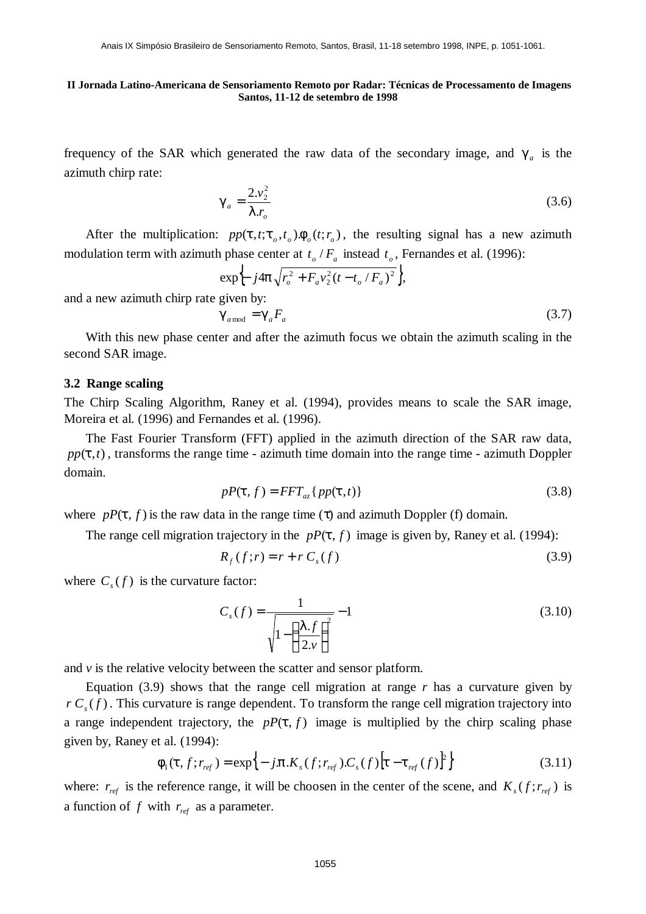frequency of the SAR which generated the raw data of the secondary image, and *g<sup>a</sup>* is the azimuth chirp rate:

$$
\mathbf{g}_i = \frac{2.v_2^2}{\mathbf{I} \cdot r_o} \tag{3.6}
$$

After the multiplication:  $pp(t, t; t_o, t_o)$ ,  $f_o(t; r_o)$ , the resulting signal has a new azimuth modulation term with azimuth phase center at  $t_o$  /  $F_a$  instead  $t_o$ , Fernandes et al. (1996):

$$
\exp\left\{-j4\mathbf{p}\sqrt{r_o^2 + F_a v_2^2(t - t_o/F_a)^2}\right\},\
$$
 and a new azimuth chirp rate given by:

 $\mathbf{g}_{\text{mod}} = \mathbf{g} F$ <sub>a</sub> (3.7)

With this new phase center and after the azimuth focus we obtain the azimuth scaling in the second SAR image.

# **3.2 Range scaling**

The Chirp Scaling Algorithm, Raney et al. (1994), provides means to scale the SAR image, Moreira et al. (1996) and Fernandes et al. (1996).

The Fast Fourier Transform (FFT) applied in the azimuth direction of the SAR raw data,  $pp(t,t)$ , transforms the range time - azimuth time domain into the range time - azimuth Doppler domain.

$$
pP(\mathbf{t}, f) = FFT_{az} \{ pp(\mathbf{t}, t) \}
$$
\n(3.8)

where  $pP(t, f)$  is the raw data in the range time ( $\tau$ ) and azimuth Doppler (f) domain.

The range cell migration trajectory in the  $pP(t, f)$  image is given by, Raney et al. (1994):

$$
R_f(f; r) = r + r C_s(f) \tag{3.9}
$$

where  $C_s(f)$  is the curvature factor:

$$
C_s(f) = \frac{1}{\sqrt{1 - \left(\frac{1 \cdot f}{2 \cdot v}\right)^2}} - 1
$$
\n(3.10)

and  $\nu$  is the relative velocity between the scatter and sensor platform.

Equation  $(3.9)$  shows that the range cell migration at range  $r$  has a curvature given by  $r C<sub>s</sub>(f)$ . This curvature is range dependent. To transform the range cell migration trajectory into a range independent trajectory, the  $pP(t, f)$  image is multiplied by the chirp scaling phase given by, Raney et al. (1994):

$$
\boldsymbol{f}_{1}(\boldsymbol{t},f;\boldsymbol{r}_{ref})=\exp\Bigl\{-j.\boldsymbol{p}.\boldsymbol{K}_{s}(f;\boldsymbol{r}_{ref}).\boldsymbol{C}_{s}(f)\bigl[\boldsymbol{t}-\boldsymbol{t}_{ref}(f)\bigr]^{2}\Bigr\}
$$
(3.11)

where:  $r_{ref}$  is the reference range, it will be choosen in the center of the scene, and  $K_s(f; r_{ref})$  is a function of  $f$  with  $r_{ref}$  as a parameter.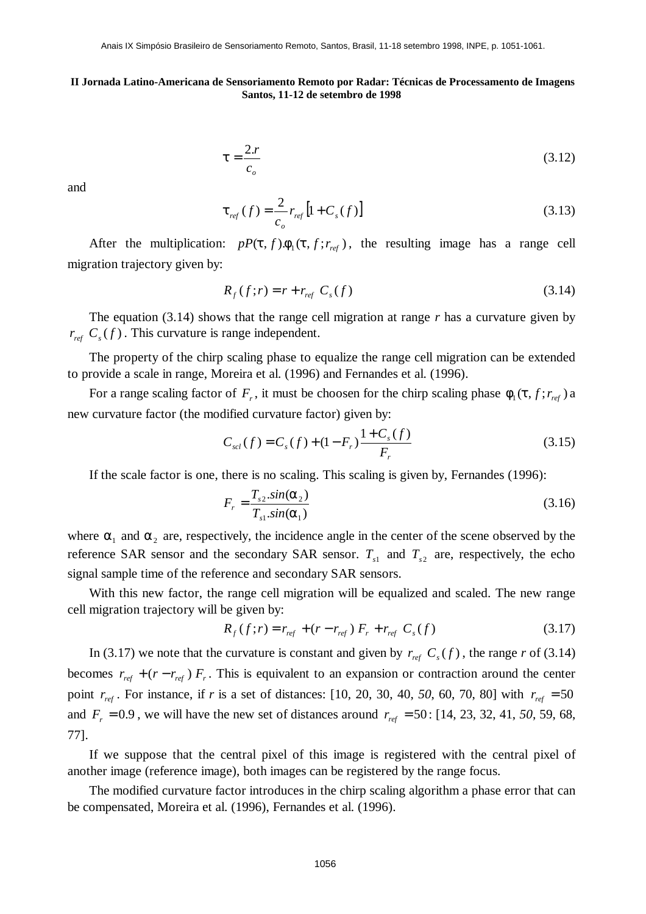$$
t = \frac{2.r}{c_o} \tag{3.12}
$$

and

$$
\mathbf{t}_{ref}(f) = \frac{2}{c_o} r_{ref} \left[ 1 + C_s(f) \right] \tag{3.13}
$$

After the multiplication:  $pP(t, f) \cdot f_1(t, f; r_{ref})$ , the resulting image has a range cell migration trajectory given by:

$$
R_f(f; r) = r + r_{ref} C_s(f) \tag{3.14}
$$

The equation (3.14) shows that the range cell migration at range *r* has a curvature given by  $r_{ref}$   $C_s(f)$ . This curvature is range independent.

The property of the chirp scaling phase to equalize the range cell migration can be extended to provide a scale in range, Moreira et al. (1996) and Fernandes et al. (1996).

For a range scaling factor of  $F_r$ , it must be choosen for the chirp scaling phase  $f_1(t, f; r_{ref})$  a new curvature factor (the modified curvature factor) given by:

$$
C_{\text{sel}}(f) = C_s(f) + (1 - F_r) \frac{1 + C_s(f)}{F_r}
$$
\n(3.15)

If the scale factor is one, there is no scaling. This scaling is given by, Fernandes (1996):

$$
F_r = \frac{T_{s2} \cdot \sin(\mathbf{a}_2)}{T_{s1} \cdot \sin(\mathbf{a}_1)}\tag{3.16}
$$

where  $a_1$  and  $a_2$  are, respectively, the incidence angle in the center of the scene observed by the reference SAR sensor and the secondary SAR sensor.  $T_{s1}$  and  $T_{s2}$  are, respectively, the echo signal sample time of the reference and secondary SAR sensors.

With this new factor, the range cell migration will be equalized and scaled. The new range cell migration trajectory will be given by:

$$
R_f(f; r) = r_{ref} + (r - r_{ref}) F_r + r_{ref} C_s(f)
$$
\n(3.17)

In (3.17) we note that the curvature is constant and given by  $r_{ref}$   $C_s(f)$ , the range  $r$  of (3.14) becomes  $r_{ref} + (r - r_{ref}) F_r$ . This is equivalent to an expansion or contraction around the center point  $r_{ref}$ . For instance, if *r* is a set of distances: [10, 20, 30, 40, 50, 60, 70, 80] with  $r_{ref} = 50$ and  $F_r = 0.9$ , we will have the new set of distances around  $r_{ref} = 50$ : [14, 23, 32, 41, 50, 59, 68, 77].

If we suppose that the central pixel of this image is registered with the central pixel of another image (reference image), both images can be registered by the range focus.

The modified curvature factor introduces in the chirp scaling algorithm a phase error that can be compensated, Moreira et al. (1996), Fernandes et al. (1996).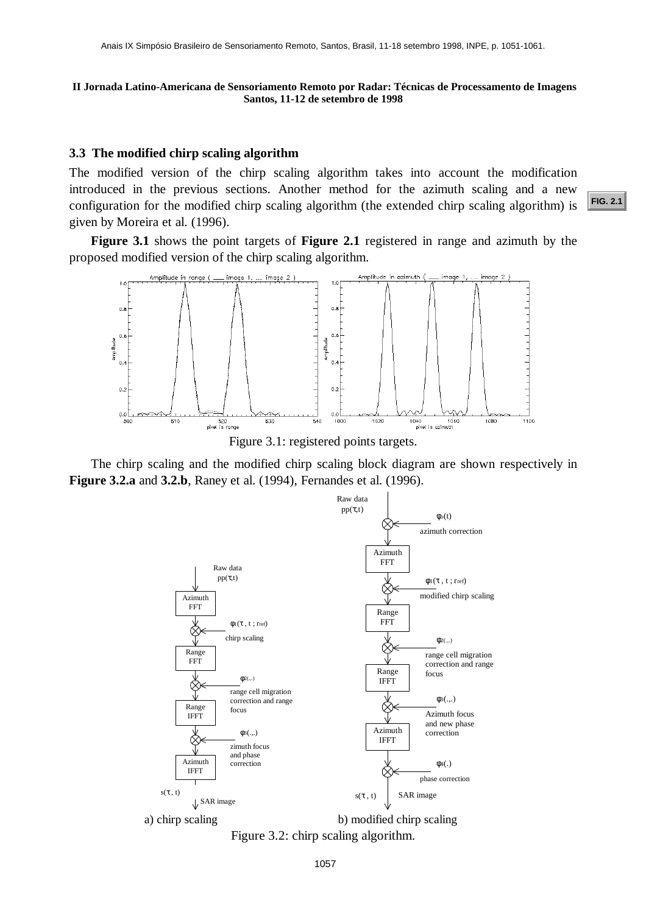### **3.3 The modified chirp scaling algorithm**

The modified version of the chirp scaling algorithm takes into account the modification introduced in the previous sections. Another method for the azimuth scaling and a new configuration for the modified chirp scaling algorithm (the extended chirp scaling algorithm) is given by Moreira et al. (1996). Anais IX Simpósio Brasileiro de Sensoriamento Remoto, Santos, Brasil, 11-18 setembro 1998, INPE, p. 1051-1061.<br> **Anada Latino-Americana de Sensoriamento Remoto por Radar: Técnicas de Processamento de Imagens**<br> **Santos, 11-**

**Figure 3.1** shows the point targets of **Figure 2.1** registered in range and azimuth by the proposed modified version of the chirp scaling algorithm.



Figure 3.1: registered points targets.

The chirp scaling and the modified chirp scaling block diagram are shown respectively in **Figure 3.2.a** and **3.2.b**, Raney et al. (1994), Fernandes et al. (1996).



Figure 3.2: chirp scaling algorithm.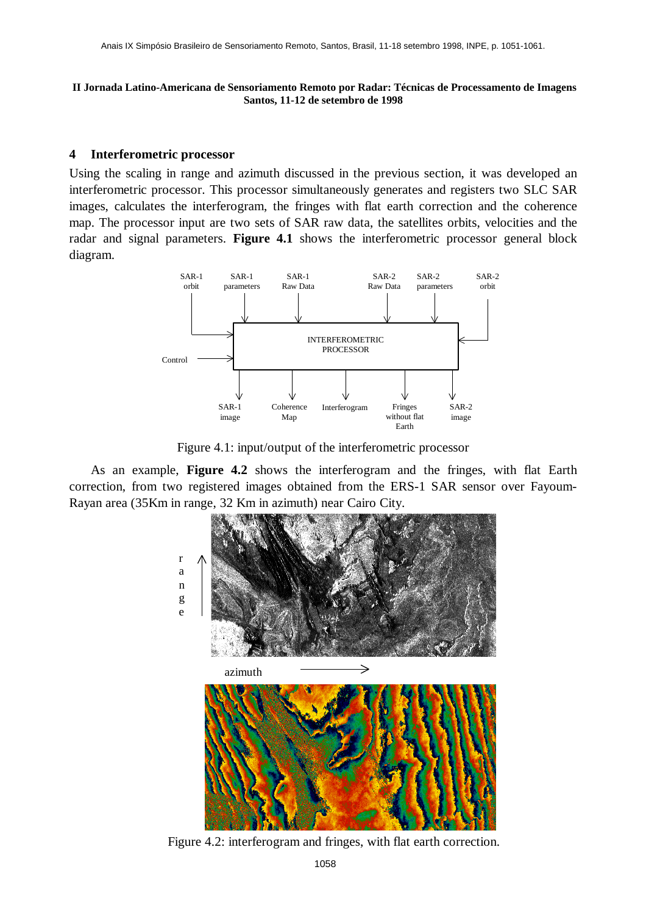# **4 Interferometric processor**

Using the scaling in range and azimuth discussed in the previous section, it was developed an interferometric processor. This processor simultaneously generates and registers two SLC SAR images, calculates the interferogram, the fringes with flat earth correction and the coherence map. The processor input are two sets of SAR raw data, the satellites orbits, velocities and the radar and signal parameters. **Figure 4.1** shows the interferometric processor general block diagram.



Figure 4.1: input/output of the interferometric processor

As an example, **Figure 4.2** shows the interferogram and the fringes, with flat Earth correction, from two registered images obtained from the ERS-1 SAR sensor over Fayoum-Rayan area (35Km in range, 32 Km in azimuth) near Cairo City.



Figure 4.2: interferogram and fringes, with flat earth correction.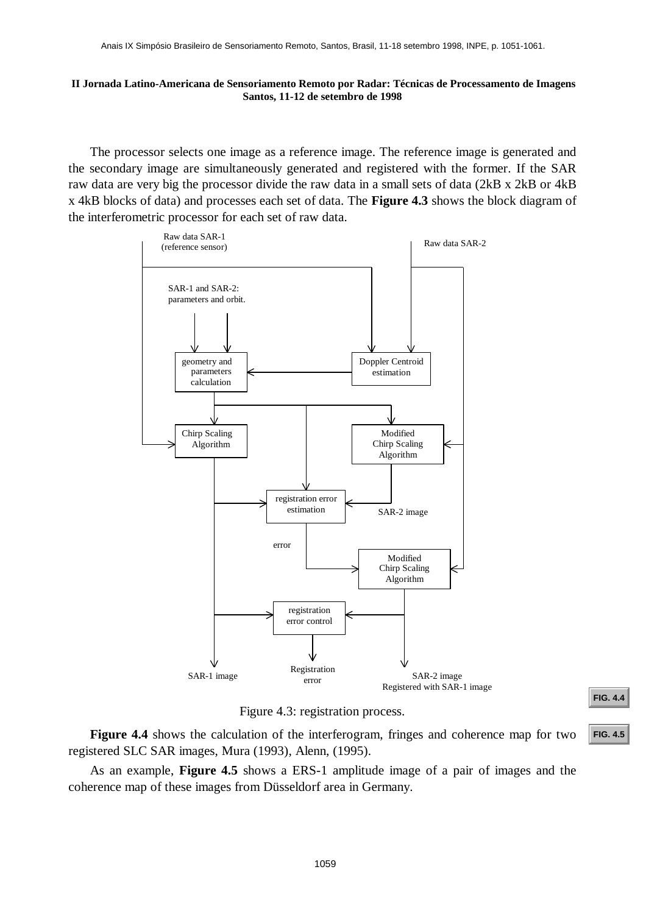The processor selects one image as a reference image. The reference image is generated and the secondary image are simultaneously generated and registered with the former. If the SAR raw data are very big the processor divide the raw data in a small sets of data (2kB x 2kB or 4kB x 4kB blocks of data) and processes each set of data. The **Figure 4.3** shows the block diagram of the interferometric processor for each set of raw data.



Figure 4.3: registration process.

**[FIG. 4.4](#page-9-0)**

**Figure 4.4** shows the calculation of the interferogram, fringes and coherence map for two registered SLC SAR images, Mura (1993), Alenn, (1995).

As an example, **Figure 4.5** shows a ERS-1 amplitude image of a pair of images and the coherence map of these images from Düsseldorf area in Germany.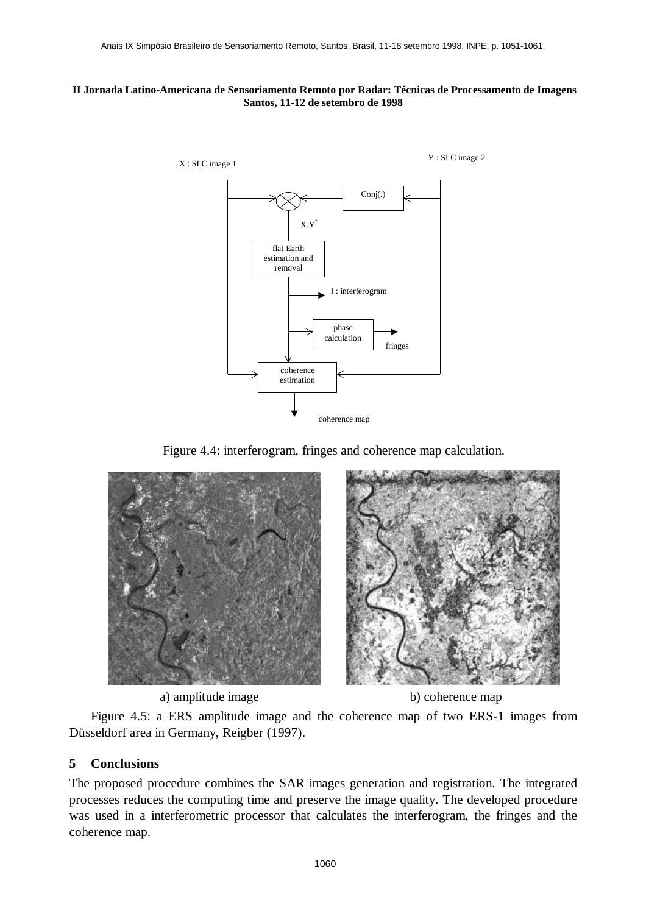<span id="page-9-0"></span>

Figure 4.4: interferogram, fringes and coherence map calculation.



a) amplitude image b) coherence map



Figure 4.5: a ERS amplitude image and the coherence map of two ERS-1 images from Düsseldorf area in Germany, Reigber (1997).

# **5 Conclusions**

The proposed procedure combines the SAR images generation and registration. The integrated processes reduces the computing time and preserve the image quality. The developed procedure was used in a interferometric processor that calculates the interferogram, the fringes and the coherence map.